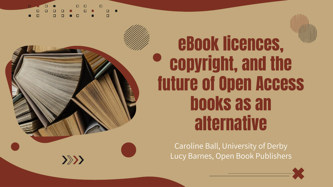$\gg$ 



## eBook licences, copyright, and the future of Open Access books as an alternative

Caroline Ball, University of Derby Lucy Barnes, Open Book Publishers

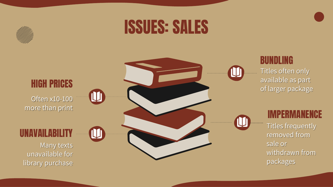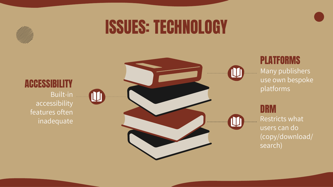

## ISSUES: TECHNOLOGY



#### PLATFORMS

Many publishers use own bespoke platforms

#### **DRM**

Restricts what users can do (copy/download/ search)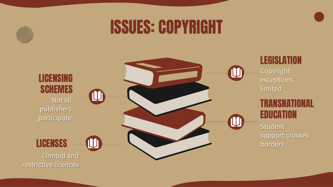

## ISSUES: COPYRIGHT

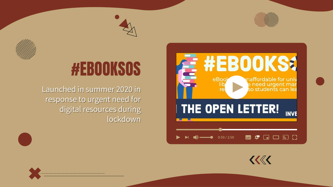



### **#EBOOKS&** naffordable for univ eBoo e need urgent mar<br>so students can lea THE OPEN LETTER! **INVE** <u>"</u><br>2015

 $0:50 / 2:50$ 

## #EBOOKSOS

Launched in summer 2020 in response to urgent need for digital resources during lockdown



缨

 $\Box$ 

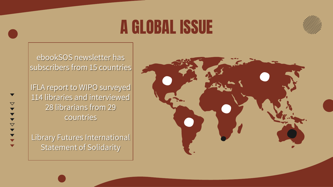## A GLOBAL ISSUE



ebookSOS newsletter has subscribers from 15 countries

IFLA report to WIPO surveyed 114 libraries and interviewed 28 librarians from 29 countries

 $\bigtriangledown$ 

Library Futures International Statement of Solidarity

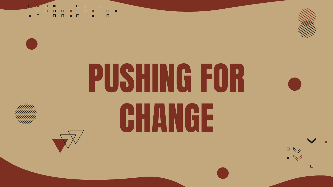$\Box \quad \Box$  $\Box$  $\Box$  $\Box$ Ō.  $\Box$ 



# PUSHING FOR CHANGE





 $\Box$ 

 $\bigotimes_{i=1}^{n}$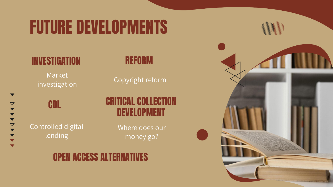## FUTURE DEVELOPMENTS

### INVESTIGATION

Market investigation

 $\blacktriangledown$ 

 $\boldsymbol{\nabla}$ 

 $\begin{array}{c} \text{4} & \text{4} & \text{4} & \text{4} & \text{4} \\ \text{4} & \text{4} & \text{4} & \text{4} & \text{4} & \text{4} \\ \end{array}$ 

 $\blacktriangledown$  $\blacktriangledown$ 

#### REFORM

Copyright reform

## CDL Controlled digital lending

### CRITICAL COLLECTION DEVELOPMENT

Where does our money go?

### OPEN ACCESS ALTERNATIVES

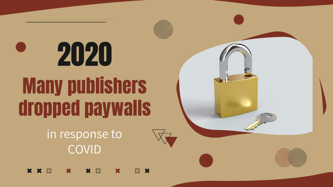Many publishers dropped paywalls 2020

> in response to COVID

 $\mathbf{x} \otimes$  $x x \otimes$  $\mathbb{Z}$   $\mathbb{X}$  $\mathbf x$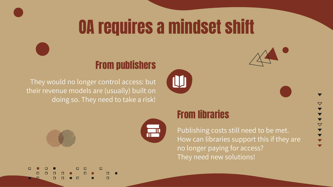## OA requires a mindset shift

#### From publishers

They would no longer control access: but their revenue models are (usually) built on doing so. They need to take a risk!









#### From libraries

Publishing costs still need to be met. How can libraries support this if they are no longer paying for access? They need new solutions!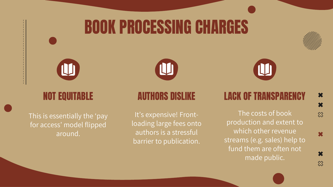## BOOK PROCESSING CHARGES





#### NOT EQUITABLE

This is essentially the 'pay for access' model flipped around.



#### AUTHORS DISLIKE

It's expensive! Frontloading large fees onto authors is a stressful barrier to publication.

LACK OF TRANSPARENCY

The costs of book production and extent to which other revenue streams (e.g. sales) help to fund them are often not made public.

×  $\hat{\infty}$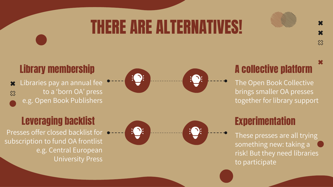## THERE ARE ALTERNATIVES!

#### Library membership

Libraries pay an annual fee  $\mathbf x$ to a 'born OA' press  $\hat{\infty}$ e.g. Open Book Publishers

Presses offer closed backlist for subscription to fund OA frontlist e.g. Central European University Press





## A collective platform

 $\hat{\chi}$ 

The Open Book Collective brings smaller OA presses together for library support

These presses are all trying something new: taking a risk! But they need libraries to participate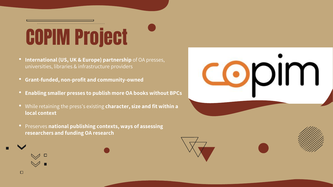## COPIM Project

- **International (US, UK & Europe) partnership** of OA presses, universities, libraries & infrastructure providers
- **Grant-funded, non-profit and community-owned**

 $\Box$ 

- **Enabling smaller presses to publish more OA books without BPCs**
- While retaining the press's existing **character, size and fit within a local context**
- Preserves **national publishing contexts, ways of assessing researchers and funding OA research**





CODIM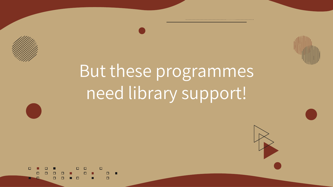

## But these programmes need library support!

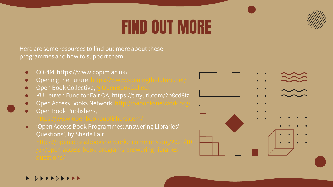## FIND OUT MORE



Here are some resources to find out more about these programmes and how to support them.

- COPIM,<https://www.copim.ac.uk/>
- Opening the Future, https://www.openingthefuture.net/
- Open Book Collective,
- KU Leuven Fund for Fair OA, <https://tinyurl.com/2p8cd8fz>
- Open Access Books Network, http://oabooksnetwork.org/
- Open Book Publishers,

'Open Access Book Programmes: Answering Libraries' Questions', by Sharla Lair,